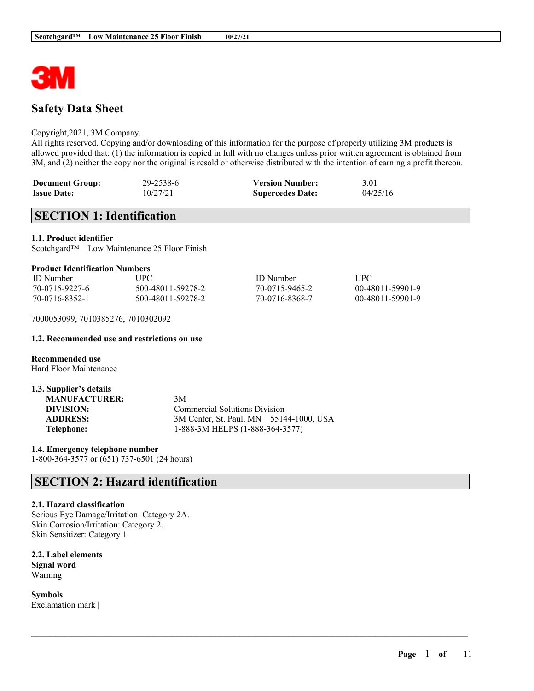

# **Safety Data Sheet**

#### Copyright,2021, 3M Company.

All rights reserved. Copying and/or downloading of this information for the purpose of properly utilizing 3M products is allowed provided that: (1) the information is copied in full with no changes unless prior written agreement is obtained from 3M, and (2) neither the copy nor the original is resold or otherwise distributed with the intention of earning a profit thereon.

| <b>Document Group:</b> | 29-2538-6 | <b>Version Number:</b>  | 3.01     |
|------------------------|-----------|-------------------------|----------|
| <b>Issue Date:</b>     | 10/27/21  | <b>Supercedes Date:</b> | 04/25/16 |

# **SECTION 1: Identification**

**1.1. Product identifier**

Scotchgard™ Low Maintenance 25 Floor Finish

| <b>ID</b> Number | UPC-              | <b>ID</b> Number | <b>UPC</b>       |
|------------------|-------------------|------------------|------------------|
| 70-0715-9227-6   | 500-48011-59278-2 | 70-0715-9465-2   | 00-48011-59901-9 |
| 70-0716-8352-1   | 500-48011-59278-2 | 70-0716-8368-7   | 00-48011-59901-9 |

 $\mathcal{L}_\mathcal{L} = \mathcal{L}_\mathcal{L} = \mathcal{L}_\mathcal{L} = \mathcal{L}_\mathcal{L} = \mathcal{L}_\mathcal{L} = \mathcal{L}_\mathcal{L} = \mathcal{L}_\mathcal{L} = \mathcal{L}_\mathcal{L} = \mathcal{L}_\mathcal{L} = \mathcal{L}_\mathcal{L} = \mathcal{L}_\mathcal{L} = \mathcal{L}_\mathcal{L} = \mathcal{L}_\mathcal{L} = \mathcal{L}_\mathcal{L} = \mathcal{L}_\mathcal{L} = \mathcal{L}_\mathcal{L} = \mathcal{L}_\mathcal{L}$ 

7000053099, 7010385276, 7010302092

#### **1.2. Recommended use and restrictions on use**

**Recommended use** Hard Floor Maintenance

| 1.3. Supplier's details |                                         |  |
|-------------------------|-----------------------------------------|--|
| <b>MANUFACTURER:</b>    | 3M                                      |  |
| DIVISION:               | <b>Commercial Solutions Division</b>    |  |
| <b>ADDRESS:</b>         | 3M Center, St. Paul, MN 55144-1000, USA |  |
| Telephone:              | 1-888-3M HELPS (1-888-364-3577)         |  |

**1.4. Emergency telephone number** 1-800-364-3577 or (651) 737-6501 (24 hours)

# **SECTION 2: Hazard identification**

#### **2.1. Hazard classification**

Serious Eye Damage/Irritation: Category 2A. Skin Corrosion/Irritation: Category 2. Skin Sensitizer: Category 1.

**2.2. Label elements Signal word** Warning

**Symbols** Exclamation mark |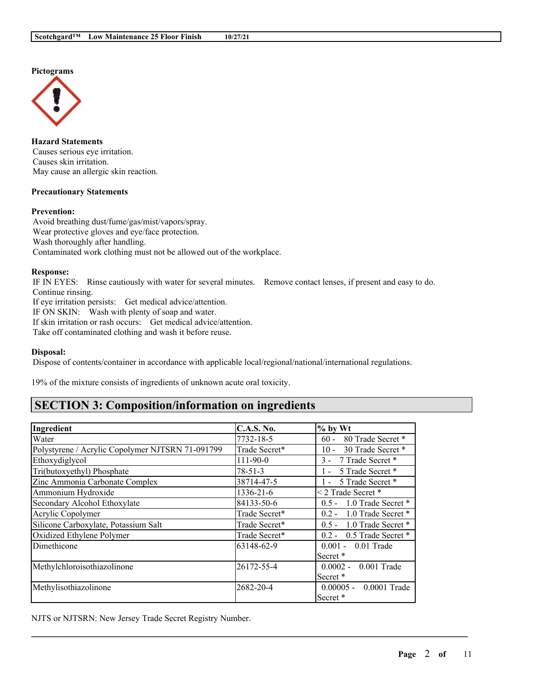



**Hazard Statements** Causes serious eye irritation. Causes skin irritation. May cause an allergic skin reaction.

### **Precautionary Statements**

### **Prevention:**

Avoid breathing dust/fume/gas/mist/vapors/spray. Wear protective gloves and eye/face protection. Wash thoroughly after handling. Contaminated work clothing must not be allowed out of the workplace.

#### **Response:**

IF IN EYES: Rinse cautiously with water for several minutes. Remove contact lenses, if present and easy to do. Continue rinsing.

If eye irritation persists: Get medical advice/attention.

IF ON SKIN: Wash with plenty of soap and water.

If skin irritation or rash occurs: Get medical advice/attention.

Take off contaminated clothing and wash it before reuse.

#### **Disposal:**

Dispose of contents/container in accordance with applicable local/regional/national/international regulations.

19% of the mixture consists of ingredients of unknown acute oral toxicity.

# **SECTION 3: Composition/information on ingredients**

| Ingredient                                       | <b>C.A.S. No.</b> | $\%$ by Wt                    |
|--------------------------------------------------|-------------------|-------------------------------|
| Water                                            | 7732-18-5         | $60 -$<br>80 Trade Secret *   |
| Polystyrene / Acrylic Copolymer NJTSRN 71-091799 | Trade Secret*     | 30 Trade Secret *<br>$10 -$   |
| Ethoxydiglycol                                   | $111 - 90 - 0$    | 3 - 7 Trade Secret *          |
| Tri(butoxyethyl) Phosphate                       | $78 - 51 - 3$     | 5 Trade Secret *              |
| Zinc Ammonia Carbonate Complex                   | 38714-47-5        | 5 Trade Secret *<br>$1 -$     |
| Ammonium Hydroxide                               | 1336-21-6         | $\leq$ 2 Trade Secret *       |
| Secondary Alcohol Ethoxylate                     | 84133-50-6        | 1.0 Trade Secret *<br>$0.5 -$ |
| Acrylic Copolymer                                | Trade Secret*     | 0.2 - 1.0 Trade Secret *      |
| Silicone Carboxylate, Potassium Salt             | Trade Secret*     | $0.5 - 1.0$ Trade Secret $*$  |
| Oxidized Ethylene Polymer                        | Trade Secret*     | $0.2 - 0.5$ Trade Secret *    |
| Dimethicone                                      | 63148-62-9        | $0.001 - 0.01$ Trade          |
|                                                  |                   | Secret <sup>*</sup>           |
| Methylchloroisothiazolinone                      | 26172-55-4        | $0.0002 -$<br>$0.001$ Trade   |
|                                                  |                   | Secret <sup>*</sup>           |
| Methylisothiazolinone                            | 2682-20-4         | $0.00005 - 0.0001$ Trade      |
|                                                  |                   | Secret <sup>*</sup>           |

 $\mathcal{L}_\mathcal{L} = \mathcal{L}_\mathcal{L} = \mathcal{L}_\mathcal{L} = \mathcal{L}_\mathcal{L} = \mathcal{L}_\mathcal{L} = \mathcal{L}_\mathcal{L} = \mathcal{L}_\mathcal{L} = \mathcal{L}_\mathcal{L} = \mathcal{L}_\mathcal{L} = \mathcal{L}_\mathcal{L} = \mathcal{L}_\mathcal{L} = \mathcal{L}_\mathcal{L} = \mathcal{L}_\mathcal{L} = \mathcal{L}_\mathcal{L} = \mathcal{L}_\mathcal{L} = \mathcal{L}_\mathcal{L} = \mathcal{L}_\mathcal{L}$ 

NJTS or NJTSRN: New Jersey Trade Secret Registry Number.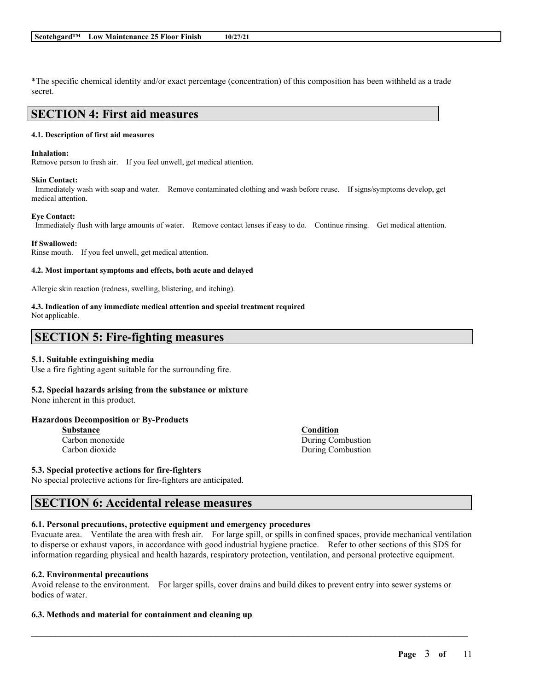\*The specific chemical identity and/or exact percentage (concentration) of this composition has been withheld as a trade secret.

## **SECTION 4: First aid measures**

#### **4.1. Description of first aid measures**

#### **Inhalation:**

Remove person to fresh air. If you feel unwell, get medical attention.

#### **Skin Contact:**

Immediately wash with soap and water. Remove contaminated clothing and wash before reuse. If signs/symptoms develop, get medical attention.

#### **Eye Contact:**

Immediately flush with large amounts of water. Remove contact lenses if easy to do. Continue rinsing. Get medical attention.

#### **If Swallowed:**

Rinse mouth. If you feel unwell, get medical attention.

#### **4.2. Most important symptoms and effects, both acute and delayed**

Allergic skin reaction (redness, swelling, blistering, and itching).

## **4.3. Indication of any immediate medical attention and special treatment required**

Not applicable.

## **SECTION 5: Fire-fighting measures**

#### **5.1. Suitable extinguishing media**

Use a fire fighting agent suitable for the surrounding fire.

## **5.2. Special hazards arising from the substance or mixture**

None inherent in this product.

#### **Hazardous Decomposition or By-Products**

**Substance Condition** Carbon monoxide During Combustion

**5.3. Special protective actions for fire-fighters**

No special protective actions for fire-fighters are anticipated.

## **SECTION 6: Accidental release measures**

#### **6.1. Personal precautions, protective equipment and emergency procedures**

Evacuate area. Ventilate the area with fresh air. For large spill, or spills in confined spaces, provide mechanical ventilation to disperse or exhaust vapors, in accordance with good industrial hygiene practice. Refer to other sections of this SDS for information regarding physical and health hazards, respiratory protection, ventilation, and personal protective equipment.

#### **6.2. Environmental precautions**

Avoid release to the environment. For larger spills, cover drains and build dikes to prevent entry into sewer systems or bodies of water.

 $\mathcal{L}_\mathcal{L} = \mathcal{L}_\mathcal{L} = \mathcal{L}_\mathcal{L} = \mathcal{L}_\mathcal{L} = \mathcal{L}_\mathcal{L} = \mathcal{L}_\mathcal{L} = \mathcal{L}_\mathcal{L} = \mathcal{L}_\mathcal{L} = \mathcal{L}_\mathcal{L} = \mathcal{L}_\mathcal{L} = \mathcal{L}_\mathcal{L} = \mathcal{L}_\mathcal{L} = \mathcal{L}_\mathcal{L} = \mathcal{L}_\mathcal{L} = \mathcal{L}_\mathcal{L} = \mathcal{L}_\mathcal{L} = \mathcal{L}_\mathcal{L}$ 

#### **6.3. Methods and material for containment and cleaning up**

Carbon dioxide During Combustion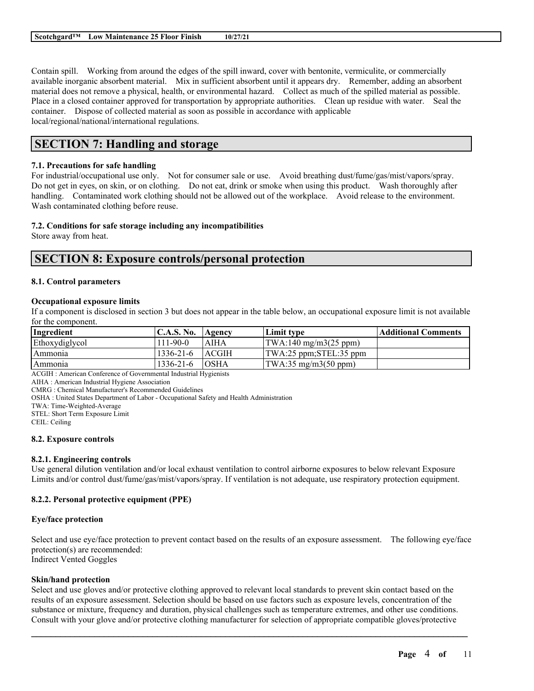Contain spill. Working from around the edges of the spill inward, cover with bentonite, vermiculite, or commercially available inorganic absorbent material. Mix in sufficient absorbent until it appears dry. Remember, adding an absorbent material does not remove a physical, health, or environmental hazard. Collect as much of the spilled material as possible. Place in a closed container approved for transportation by appropriate authorities. Clean up residue with water. Seal the container. Dispose of collected material as soon as possible in accordance with applicable local/regional/national/international regulations.

# **SECTION 7: Handling and storage**

## **7.1. Precautions for safe handling**

For industrial/occupational use only. Not for consumer sale or use. Avoid breathing dust/fume/gas/mist/vapors/spray. Do not get in eyes, on skin, or on clothing. Do not eat, drink or smoke when using this product. Wash thoroughly after handling. Contaminated work clothing should not be allowed out of the workplace. Avoid release to the environment. Wash contaminated clothing before reuse.

### **7.2. Conditions for safe storage including any incompatibilities**

Store away from heat.

## **SECTION 8: Exposure controls/personal protection**

### **8.1. Control parameters**

#### **Occupational exposure limits**

If a component is disclosed in section 3 but does not appear in the table below, an occupational exposure limit is not available for the component.

| Ingredient     | <b>C.A.S. No.</b> | <b>Agency</b> | Limit type                                      | Additional Comments |
|----------------|-------------------|---------------|-------------------------------------------------|---------------------|
| Ethoxydiglycol | $111 - 90 - 0$    | I AIHA        | $\text{TWA}:140 \text{ mg/m}3(25 \text{ ppm})$  |                     |
| Ammonia        | $1336 - 21 - 6$   | <b>ACGIH</b>  | $\text{TWA}:25 \text{ ppm}:STEL:35 \text{ ppm}$ |                     |
| l Ammonia      | $1336 - 21 - 6$   | <b>OSHA</b>   | $\text{TWA}:35 \text{ mg/m}3(50 \text{ ppm})$   |                     |

ACGIH : American Conference of Governmental Industrial Hygienists

AIHA : American Industrial Hygiene Association

CMRG : Chemical Manufacturer's Recommended Guidelines

OSHA : United States Department of Labor - Occupational Safety and Health Administration

TWA: Time-Weighted-Average

STEL: Short Term Exposure Limit

CEIL: Ceiling

#### **8.2. Exposure controls**

#### **8.2.1. Engineering controls**

Use general dilution ventilation and/or local exhaust ventilation to control airborne exposures to below relevant Exposure Limits and/or control dust/fume/gas/mist/vapors/spray. If ventilation is not adequate, use respiratory protection equipment.

## **8.2.2. Personal protective equipment (PPE)**

#### **Eye/face protection**

Select and use eye/face protection to prevent contact based on the results of an exposure assessment. The following eye/face protection(s) are recommended: Indirect Vented Goggles

### **Skin/hand protection**

Select and use gloves and/or protective clothing approved to relevant local standards to prevent skin contact based on the results of an exposure assessment. Selection should be based on use factors such as exposure levels, concentration of the substance or mixture, frequency and duration, physical challenges such as temperature extremes, and other use conditions. Consult with your glove and/or protective clothing manufacturer for selection of appropriate compatible gloves/protective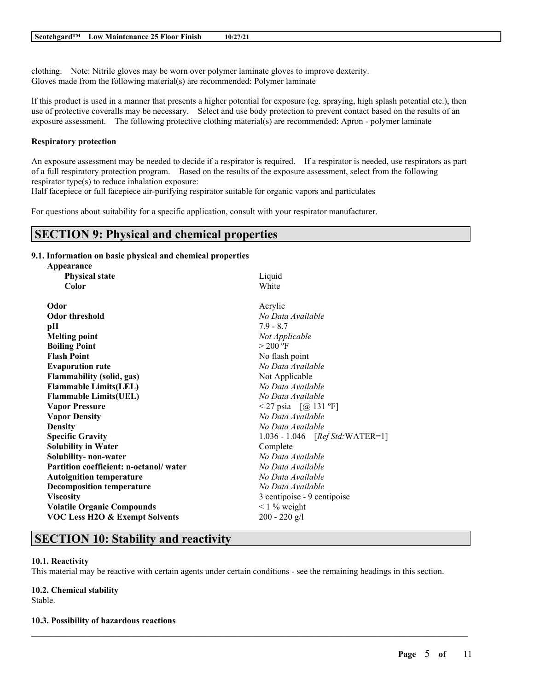clothing. Note: Nitrile gloves may be worn over polymer laminate gloves to improve dexterity. Gloves made from the following material(s) are recommended: Polymer laminate

If this product is used in a manner that presents a higher potential for exposure (eg. spraying, high splash potential etc.), then use of protective coveralls may be necessary. Select and use body protection to prevent contact based on the results of an exposure assessment. The following protective clothing material(s) are recommended: Apron - polymer laminate

### **Respiratory protection**

An exposure assessment may be needed to decide if a respirator is required. If a respirator is needed, use respirators as part of a full respiratory protection program. Based on the results of the exposure assessment, select from the following respirator type(s) to reduce inhalation exposure:

Half facepiece or full facepiece air-purifying respirator suitable for organic vapors and particulates

For questions about suitability for a specific application, consult with your respirator manufacturer.

## **SECTION 9: Physical and chemical properties**

## **9.1. Information on basic physical and chemical properties**

| Appearance                                |                                  |
|-------------------------------------------|----------------------------------|
| <b>Physical state</b>                     | Liquid                           |
| Color                                     | White                            |
| Odor                                      | Acrylic                          |
| <b>Odor threshold</b>                     | No Data Available                |
| pН                                        | $7.9 - 8.7$                      |
| <b>Melting point</b>                      | Not Applicable                   |
| <b>Boiling Point</b>                      | $> 200$ °F                       |
| <b>Flash Point</b>                        | No flash point                   |
| <b>Evaporation rate</b>                   | No Data Available                |
| <b>Flammability (solid, gas)</b>          | Not Applicable                   |
| <b>Flammable Limits(LEL)</b>              | No Data Available                |
| <b>Flammable Limits(UEL)</b>              | No Data Available                |
| <b>Vapor Pressure</b>                     | <27 psia $[@ 131 °F]$            |
| <b>Vapor Density</b>                      | No Data Available                |
| <b>Density</b>                            | No Data Available                |
| <b>Specific Gravity</b>                   | 1.036 - 1.046 [Ref Std: WATER=1] |
| <b>Solubility in Water</b>                | Complete                         |
| Solubility- non-water                     | No Data Available                |
| Partition coefficient: n-octanol/water    | No Data Available                |
| <b>Autoignition temperature</b>           | No Data Available                |
| <b>Decomposition temperature</b>          | No Data Available                |
| <b>Viscosity</b>                          | 3 centipoise - 9 centipoise      |
| <b>Volatile Organic Compounds</b>         | $\leq$ 1 % weight                |
| <b>VOC Less H2O &amp; Exempt Solvents</b> | $200 - 220$ g/l                  |
|                                           |                                  |

# **SECTION 10: Stability and reactivity**

#### **10.1. Reactivity**

This material may be reactive with certain agents under certain conditions - see the remaining headings in this section.

 $\mathcal{L}_\mathcal{L} = \mathcal{L}_\mathcal{L} = \mathcal{L}_\mathcal{L} = \mathcal{L}_\mathcal{L} = \mathcal{L}_\mathcal{L} = \mathcal{L}_\mathcal{L} = \mathcal{L}_\mathcal{L} = \mathcal{L}_\mathcal{L} = \mathcal{L}_\mathcal{L} = \mathcal{L}_\mathcal{L} = \mathcal{L}_\mathcal{L} = \mathcal{L}_\mathcal{L} = \mathcal{L}_\mathcal{L} = \mathcal{L}_\mathcal{L} = \mathcal{L}_\mathcal{L} = \mathcal{L}_\mathcal{L} = \mathcal{L}_\mathcal{L}$ 

**10.2. Chemical stability** Stable.

#### **10.3. Possibility of hazardous reactions**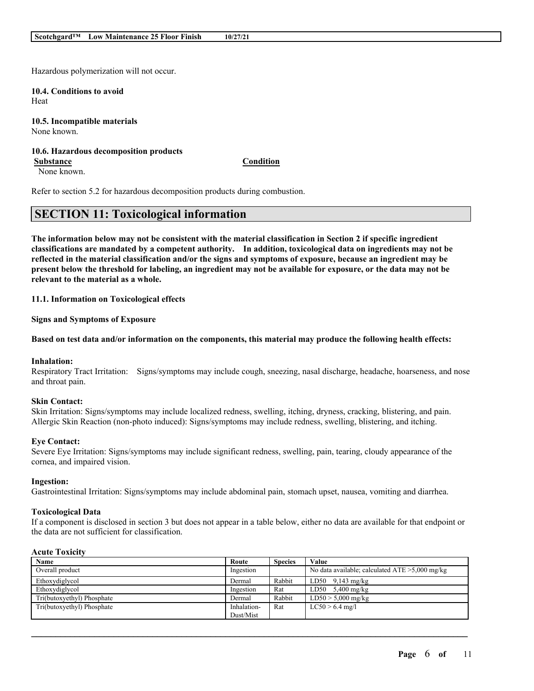Hazardous polymerization will not occur.

**10.4. Conditions to avoid** Heat

**10.5. Incompatible materials** None known.

#### **10.6. Hazardous decomposition products Substance Condition**

None known.

Refer to section 5.2 for hazardous decomposition products during combustion.

# **SECTION 11: Toxicological information**

The information below may not be consistent with the material classification in Section 2 if specific ingredient **classifications are mandated by a competent authority. In addition, toxicological data on ingredients may not be** reflected in the material classification and/or the signs and symptoms of exposure, because an ingredient may be present below the threshold for labeling, an ingredient may not be available for exposure, or the data may not be **relevant to the material as a whole.**

### **11.1. Information on Toxicological effects**

**Signs and Symptoms of Exposure**

#### Based on test data and/or information on the components, this material may produce the following health effects:

#### **Inhalation:**

Respiratory Tract Irritation: Signs/symptoms may include cough, sneezing, nasal discharge, headache, hoarseness, and nose and throat pain.

#### **Skin Contact:**

Skin Irritation: Signs/symptoms may include localized redness, swelling, itching, dryness, cracking, blistering, and pain. Allergic Skin Reaction (non-photo induced): Signs/symptoms may include redness, swelling, blistering, and itching.

#### **Eye Contact:**

Severe Eye Irritation: Signs/symptoms may include significant redness, swelling, pain, tearing, cloudy appearance of the cornea, and impaired vision.

#### **Ingestion:**

Gastrointestinal Irritation: Signs/symptoms may include abdominal pain, stomach upset, nausea, vomiting and diarrhea.

#### **Toxicological Data**

If a component is disclosed in section 3 but does not appear in a table below, either no data are available for that endpoint or the data are not sufficient for classification.

### **Acute Toxicity**

| Name                       | Route       | <b>Species</b> | Value                                             |
|----------------------------|-------------|----------------|---------------------------------------------------|
| Overall product            | Ingestion   |                | No data available; calculated $ATE > 5,000$ mg/kg |
| Ethoxydiglycol             | Dermal      | Rabbit         | $LD50$ 9,143 mg/kg                                |
| Ethoxydiglycol             | Ingestion   | Rat            | LD50 $5,400$ mg/kg                                |
| Tri(butoxyethyl) Phosphate | Dermal      | Rabbit         | $LD50 > 5,000$ mg/kg                              |
| Tri(butoxyethyl) Phosphate | Inhalation- | Rat            | $LC50 > 6.4$ mg/l                                 |
|                            | Dust/Mist   |                |                                                   |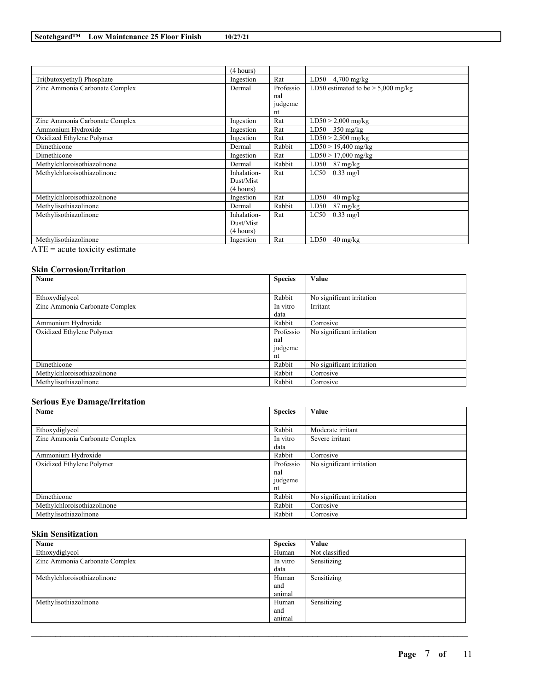|                                | (4 hours)   |           |                                          |
|--------------------------------|-------------|-----------|------------------------------------------|
| Tri(butoxyethyl) Phosphate     | Ingestion   | Rat       | LD50<br>$4,700$ mg/kg                    |
| Zinc Ammonia Carbonate Complex | Dermal      | Professio | LD50 estimated to be $> 5,000$ mg/kg     |
|                                |             | nal       |                                          |
|                                |             | judgeme   |                                          |
|                                |             | nt        |                                          |
| Zinc Ammonia Carbonate Complex | Ingestion   | Rat       | $LD50 > 2,000$ mg/kg                     |
| Ammonium Hydroxide             | Ingestion   | Rat       | LD50 $350$ mg/kg                         |
| Oxidized Ethylene Polymer      | Ingestion   | Rat       | $LD50 > 2,500$ mg/kg                     |
| Dimethicone                    | Dermal      | Rabbit    | $LD50 > 19,400$ mg/kg                    |
| Dimethicone                    | Ingestion   | Rat       | $LD50 > 17,000$ mg/kg                    |
| Methylchloroisothiazolinone    | Dermal      | Rabbit    | LD50 87 mg/kg                            |
| Methylchloroisothiazolinone    | Inhalation- | Rat       | LC50<br>$0.33 \text{ mg/l}$              |
|                                | Dust/Mist   |           |                                          |
|                                | (4 hours)   |           |                                          |
| Methylchloroisothiazolinone    | Ingestion   | Rat       | LD50<br>40 mg/kg                         |
| Methylisothiazolinone          | Dermal      | Rabbit    | LD50<br>$87 \text{ mg/kg}$               |
| Methylisothiazolinone          | Inhalation- | Rat       | $0.33 \text{ mg/l}$<br>LC50              |
|                                | Dust/Mist   |           |                                          |
|                                | (4 hours)   |           |                                          |
| Methylisothiazolinone          | Ingestion   | Rat       | LD50<br>$40 \frac{\text{mg}}{\text{kg}}$ |

 $\overline{ATE}$  = acute toxicity estimate

## **Skin Corrosion/Irritation**

| Name                           | <b>Species</b> | Value                     |
|--------------------------------|----------------|---------------------------|
|                                |                |                           |
| Ethoxydiglycol                 | Rabbit         | No significant irritation |
| Zinc Ammonia Carbonate Complex | In vitro       | Irritant                  |
|                                | data           |                           |
| Ammonium Hydroxide             | Rabbit         | Corrosive                 |
| Oxidized Ethylene Polymer      | Professio      | No significant irritation |
|                                | nal            |                           |
|                                | judgeme        |                           |
|                                | nt             |                           |
| Dimethicone                    | Rabbit         | No significant irritation |
| Methylchloroisothiazolinone    | Rabbit         | Corrosive                 |
| Methylisothiazolinone          | Rabbit         | Corrosive                 |

## **Serious Eye Damage/Irritation**

| Name                           | <b>Species</b> | Value                     |
|--------------------------------|----------------|---------------------------|
|                                |                |                           |
| Ethoxydiglycol                 | Rabbit         | Moderate irritant         |
| Zinc Ammonia Carbonate Complex | In vitro       | Severe irritant           |
|                                | data           |                           |
| Ammonium Hydroxide             | Rabbit         | Corrosive                 |
| Oxidized Ethylene Polymer      | Professio      | No significant irritation |
|                                | nal            |                           |
|                                | judgeme        |                           |
|                                | nt             |                           |
| Dimethicone                    | Rabbit         | No significant irritation |
| Methylchloroisothiazolinone    | Rabbit         | Corrosive                 |
| Methylisothiazolinone          | Rabbit         | Corrosive                 |

## **Skin Sensitization**

| Name                           | <b>Species</b> | Value          |
|--------------------------------|----------------|----------------|
| Ethoxydiglycol                 | Human          | Not classified |
| Zinc Ammonia Carbonate Complex | In vitro       | Sensitizing    |
|                                | data           |                |
| Methylchloroisothiazolinone    | Human          | Sensitizing    |
|                                | and            |                |
|                                | animal         |                |
| Methylisothiazolinone          | Human          | Sensitizing    |
|                                | and            |                |
|                                | animal         |                |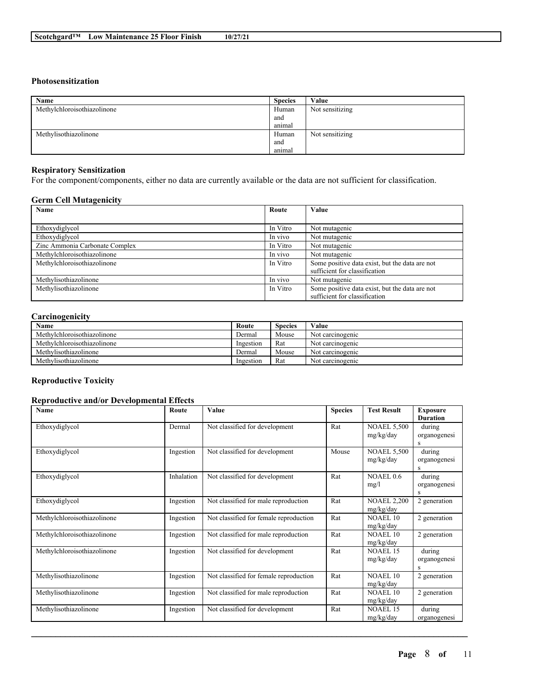#### **Photosensitization**

| Name                        | <b>Species</b> | Value           |
|-----------------------------|----------------|-----------------|
| Methylchloroisothiazolinone | Human          | Not sensitizing |
|                             | and            |                 |
|                             | anımal         |                 |
| Methylisothiazolinone       | Human          | Not sensitizing |
|                             | and            |                 |
|                             | anımal         |                 |

#### **Respiratory Sensitization**

For the component/components, either no data are currently available or the data are not sufficient for classification.

## **Germ Cell Mutagenicity**

| Name                           | Route    | Value                                          |
|--------------------------------|----------|------------------------------------------------|
|                                |          |                                                |
| Ethoxydiglycol                 | In Vitro | Not mutagenic                                  |
| Ethoxydiglycol                 | In vivo  | Not mutagenic                                  |
| Zinc Ammonia Carbonate Complex | In Vitro | Not mutagenic                                  |
| Methylchloroisothiazolinone    | In vivo  | Not mutagenic                                  |
| Methylchloroisothiazolinone    | In Vitro | Some positive data exist, but the data are not |
|                                |          | sufficient for classification                  |
| Methylisothiazolinone          | In vivo  | Not mutagenic                                  |
| Methylisothiazolinone          | In Vitro | Some positive data exist, but the data are not |
|                                |          | sufficient for classification                  |

## **Carcinogenicity**

| Name                        | Route     | <b>Species</b> | Value            |
|-----------------------------|-----------|----------------|------------------|
| Methylchloroisothiazolinone | Dermal    | Mouse          | Not carcinogenic |
| Methylchloroisothiazolinone | Ingestion | Rat            | Not carcinogenic |
| Methylisothiazolinone       | Dermal    | Mouse          | Not carcinogenic |
| Methylisothiazolinone       | Ingestion | Rat            | Not carcinogenic |

### **Reproductive Toxicity**

### **Reproductive and/or Developmental Effects**

| <b>Name</b>                 | Route      | Value                                  | <b>Species</b> | <b>Test Result</b>              | <b>Exposure</b><br><b>Duration</b> |
|-----------------------------|------------|----------------------------------------|----------------|---------------------------------|------------------------------------|
| Ethoxydiglycol              | Dermal     | Not classified for development         | Rat            | <b>NOAEL 5,500</b><br>mg/kg/day | during<br>organogenesi<br>S        |
| Ethoxydiglycol              | Ingestion  | Not classified for development         | Mouse          | <b>NOAEL 5,500</b><br>mg/kg/day | during<br>organogenesi<br>S        |
| Ethoxydiglycol              | Inhalation | Not classified for development         | Rat            | NOAEL 0.6<br>mg/l               | during<br>organogenesi<br>S        |
| Ethoxydiglycol              | Ingestion  | Not classified for male reproduction   | Rat            | <b>NOAEL 2,200</b><br>mg/kg/day | 2 generation                       |
| Methylchloroisothiazolinone | Ingestion  | Not classified for female reproduction | Rat            | <b>NOAEL 10</b><br>mg/kg/day    | 2 generation                       |
| Methylchloroisothiazolinone | Ingestion  | Not classified for male reproduction   | Rat            | <b>NOAEL 10</b><br>mg/kg/day    | 2 generation                       |
| Methylchloroisothiazolinone | Ingestion  | Not classified for development         | Rat            | <b>NOAEL 15</b><br>mg/kg/day    | during<br>organogenesi<br>S        |
| Methylisothiazolinone       | Ingestion  | Not classified for female reproduction | Rat            | <b>NOAEL 10</b><br>mg/kg/day    | 2 generation                       |
| Methylisothiazolinone       | Ingestion  | Not classified for male reproduction   | Rat            | <b>NOAEL 10</b><br>mg/kg/day    | 2 generation                       |
| Methylisothiazolinone       | Ingestion  | Not classified for development         | Rat            | <b>NOAEL 15</b><br>mg/kg/day    | during<br>organogenesi             |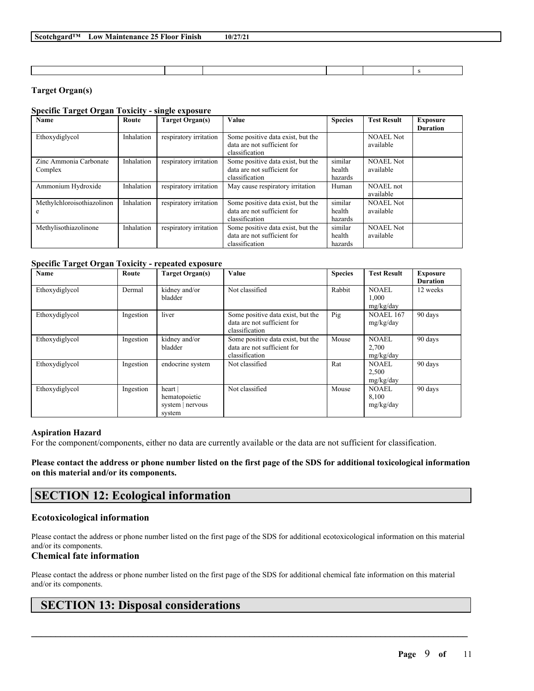## **Target Organ(s)**

## **Specific Target Organ Toxicity - single exposure**

| Name                       | Route      | <b>Target Organ(s)</b> | Value                             | <b>Species</b> | <b>Test Result</b> | <b>Exposure</b> |
|----------------------------|------------|------------------------|-----------------------------------|----------------|--------------------|-----------------|
|                            |            |                        |                                   |                |                    | <b>Duration</b> |
| Ethoxydiglycol             | Inhalation | respiratory irritation | Some positive data exist, but the |                | <b>NOAEL Not</b>   |                 |
|                            |            |                        | data are not sufficient for       |                | available          |                 |
|                            |            |                        | classification                    |                |                    |                 |
| Zinc Ammonia Carbonate     | Inhalation | respiratory irritation | Some positive data exist, but the | similar        | <b>NOAEL Not</b>   |                 |
| Complex                    |            |                        | data are not sufficient for       | health         | available          |                 |
|                            |            |                        | classification                    | hazards        |                    |                 |
| Ammonium Hydroxide         | Inhalation | respiratory irritation | May cause respiratory irritation  | Human          | NOAEL not          |                 |
|                            |            |                        |                                   |                | available          |                 |
| Methylchloroisothiazolinon | Inhalation | respiratory irritation | Some positive data exist, but the | similar        | <b>NOAEL Not</b>   |                 |
| e                          |            |                        | data are not sufficient for       | health         | available          |                 |
|                            |            |                        | classification                    | hazards        |                    |                 |
| Methylisothiazolinone      | Inhalation | respiratory irritation | Some positive data exist, but the | similar        | <b>NOAEL Not</b>   |                 |
|                            |            |                        | data are not sufficient for       | health         | available          |                 |
|                            |            |                        | classification                    | hazards        |                    |                 |

#### **Specific Target Organ Toxicity - repeated exposure**

| Name           | Route     | <b>Target Organ(s)</b>                                | Value                                                                              | <b>Species</b> | <b>Test Result</b>                 | <b>Exposure</b><br><b>Duration</b> |
|----------------|-----------|-------------------------------------------------------|------------------------------------------------------------------------------------|----------------|------------------------------------|------------------------------------|
| Ethoxydiglycol | Dermal    | kidney and/or<br>bladder                              | Not classified                                                                     | Rabbit         | NOAEL<br>1.000<br>mg/kg/day        | 12 weeks                           |
| Ethoxydiglycol | Ingestion | liver                                                 | Some positive data exist, but the<br>data are not sufficient for<br>classification | Pig            | NOAEL 167<br>mg/kg/day             | 90 days                            |
| Ethoxydiglycol | Ingestion | kidney and/or<br>bladder                              | Some positive data exist, but the<br>data are not sufficient for<br>classification | Mouse          | <b>NOAEL</b><br>2,700<br>mg/kg/day | 90 days                            |
| Ethoxydiglycol | Ingestion | endocrine system                                      | Not classified                                                                     | Rat            | <b>NOAEL</b><br>2,500<br>mg/kg/day | 90 days                            |
| Ethoxydiglycol | Ingestion | heart <br>hematopoietic<br>system   nervous<br>system | Not classified                                                                     | Mouse          | NOAEL<br>8,100<br>mg/kg/day        | 90 days                            |

#### **Aspiration Hazard**

For the component/components, either no data are currently available or the data are not sufficient for classification.

Please contact the address or phone number listed on the first page of the SDS for additional toxicological information **on this material and/or its components.**

# **SECTION 12: Ecological information**

#### **Ecotoxicological information**

Please contact the address or phone number listed on the first page of the SDS for additional ecotoxicological information on this material and/or its components.

### **Chemical fate information**

Please contact the address or phone number listed on the first page of the SDS for additional chemical fate information on this material and/or its components.

 $\mathcal{L}_\mathcal{L} = \mathcal{L}_\mathcal{L} = \mathcal{L}_\mathcal{L} = \mathcal{L}_\mathcal{L} = \mathcal{L}_\mathcal{L} = \mathcal{L}_\mathcal{L} = \mathcal{L}_\mathcal{L} = \mathcal{L}_\mathcal{L} = \mathcal{L}_\mathcal{L} = \mathcal{L}_\mathcal{L} = \mathcal{L}_\mathcal{L} = \mathcal{L}_\mathcal{L} = \mathcal{L}_\mathcal{L} = \mathcal{L}_\mathcal{L} = \mathcal{L}_\mathcal{L} = \mathcal{L}_\mathcal{L} = \mathcal{L}_\mathcal{L}$ 

# **SECTION 13: Disposal considerations**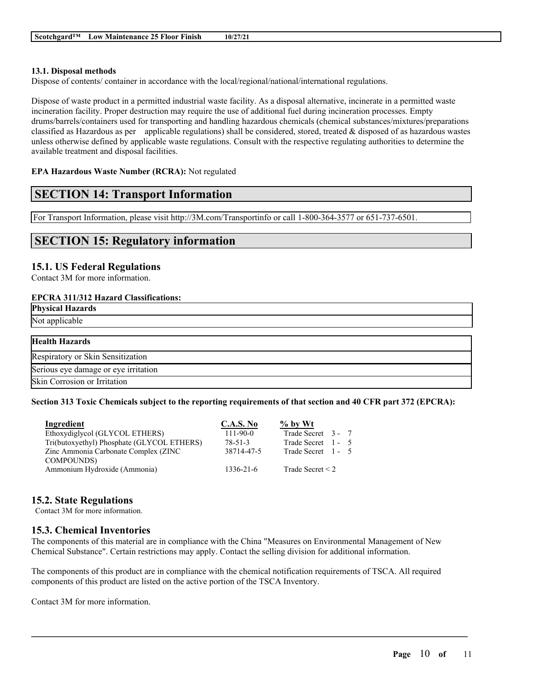### **13.1. Disposal methods**

Dispose of contents/ container in accordance with the local/regional/national/international regulations.

Dispose of waste product in a permitted industrial waste facility. As a disposal alternative, incinerate in a permitted waste incineration facility. Proper destruction may require the use of additional fuel during incineration processes. Empty drums/barrels/containers used for transporting and handling hazardous chemicals (chemical substances/mixtures/preparations classified as Hazardous as per applicable regulations) shall be considered, stored, treated & disposed of as hazardous wastes unless otherwise defined by applicable waste regulations. Consult with the respective regulating authorities to determine the available treatment and disposal facilities.

### **EPA Hazardous Waste Number (RCRA):** Not regulated

## **SECTION 14: Transport Information**

For Transport Information, please visit http://3M.com/Transportinfo or call 1-800-364-3577 or 651-737-6501.

# **SECTION 15: Regulatory information**

## **15.1. US Federal Regulations**

Contact 3M for more information.

#### **EPCRA 311/312 Hazard Classifications:**

| <b>Physical Hazards</b>              |
|--------------------------------------|
| Not applicable                       |
|                                      |
| <b>Health Hazards</b>                |
| Respiratory or Skin Sensitization    |
| Serious eye damage or eye irritation |
| Skin Corrosion or Irritation         |

### Section 313 Toxic Chemicals subject to the reporting requirements of that section and 40 CFR part 372 (EPCRA):

| Ingredient                                 | <b>C.A.S. No</b> | $\%$ by Wt            |
|--------------------------------------------|------------------|-----------------------|
| Ethoxydiglycol (GLYCOL ETHERS)             | $111 - 90 - 0$   | Trade Secret 3 - 7    |
| Tri(butoxyethyl) Phosphate (GLYCOL ETHERS) | $78 - 51 - 3$    | Trade Secret 1 - 5    |
| Zinc Ammonia Carbonate Complex (ZINC       | 38714-47-5       | Trade Secret 1 - 5    |
| <b>COMPOUNDS</b> )                         |                  |                       |
| Ammonium Hydroxide (Ammonia)               | $1336 - 21 - 6$  | Trade Secret $\leq$ 2 |

## **15.2. State Regulations**

Contact 3M for more information.

## **15.3. Chemical Inventories**

The components of this material are in compliance with the China "Measures on Environmental Management of New Chemical Substance". Certain restrictions may apply. Contact the selling division for additional information.

The components of this product are in compliance with the chemical notification requirements of TSCA. All required components of this product are listed on the active portion of the TSCA Inventory.

 $\mathcal{L}_\mathcal{L} = \mathcal{L}_\mathcal{L} = \mathcal{L}_\mathcal{L} = \mathcal{L}_\mathcal{L} = \mathcal{L}_\mathcal{L} = \mathcal{L}_\mathcal{L} = \mathcal{L}_\mathcal{L} = \mathcal{L}_\mathcal{L} = \mathcal{L}_\mathcal{L} = \mathcal{L}_\mathcal{L} = \mathcal{L}_\mathcal{L} = \mathcal{L}_\mathcal{L} = \mathcal{L}_\mathcal{L} = \mathcal{L}_\mathcal{L} = \mathcal{L}_\mathcal{L} = \mathcal{L}_\mathcal{L} = \mathcal{L}_\mathcal{L}$ 

Contact 3M for more information.